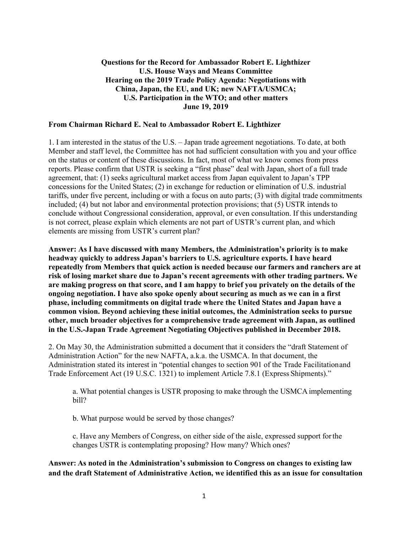## **Questions for the Record for Ambassador Robert E. Lighthizer U.S. House Ways and Means Committee Hearing on the 2019 Trade Policy Agenda: Negotiations with China, Japan, the EU, and UK; new NAFTA/USMCA; U.S. Participation in the WTO; and other matters June 19, 2019**

#### **From Chairman Richard E. Neal to Ambassador Robert E. Lighthizer**

1. I am interested in the status of the U.S. – Japan trade agreement negotiations. To date, at both Member and staff level, the Committee has not had sufficient consultation with you and your office on the status or content of these discussions. In fact, most of what we know comes from press reports. Please confirm that USTR is seeking a "first phase" deal with Japan, short of a full trade agreement, that: (1) seeks agricultural market access from Japan equivalent to Japan's TPP concessions for the United States; (2) in exchange for reduction or elimination of U.S. industrial tariffs, under five percent, including or with a focus on auto parts; (3) with digital trade commitments included; (4) but not labor and environmental protection provisions; that (5) USTR intends to conclude without Congressional consideration, approval, or even consultation. If this understanding is not correct, please explain which elements are not part of USTR's current plan, and which elements are missing from USTR's current plan?

**Answer: As I have discussed with many Members, the Administration's priority is to make headway quickly to address Japan's barriers to U.S. agriculture exports. I have heard repeatedly from Members that quick action is needed because our farmers and ranchers are at risk of losing market share due to Japan's recent agreements with other trading partners. We are making progress on that score, and I am happy to brief you privately on the details of the ongoing negotiation. I have also spoke openly about securing as much as we can in a first phase, including commitments on digital trade where the United States and Japan have a common vision. Beyond achieving these initial outcomes, the Administration seeks to pursue other, much broader objectives for a comprehensive trade agreement with Japan, as outlined in the U.S.-Japan Trade Agreement Negotiating Objectives published in December 2018.**

2. On May 30, the Administration submitted a document that it considers the "draft Statement of Administration Action" for the new NAFTA, a.k.a. the USMCA. In that document, the Administration stated its interest in "potential changes to section 901 of the Trade Facilitationand Trade Enforcement Act (19 U.S.C. 1321) to implement Article 7.8.1 (Express Shipments)."

a. What potential changes is USTR proposing to make through the USMCAimplementing bill?

b. What purpose would be served by those changes?

c. Have any Members of Congress, on either side of the aisle, expressed support forthe changes USTR is contemplating proposing? How many? Which ones?

**Answer: As noted in the Administration's submission to Congress on changes to existing law and the draft Statement of Administrative Action, we identified this as an issue for consultation**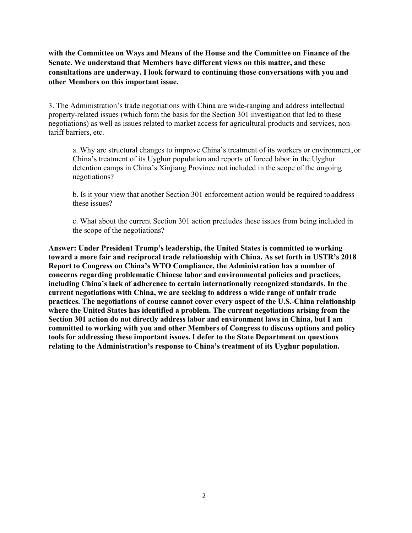**with the Committee on Ways and Means of the House and the Committee on Finance of the Senate. We understand that Members have different views on this matter, and these consultations are underway. I look forward to continuing those conversations with you and other Members on this important issue.**

3. The Administration's trade negotiations with China are wide-ranging and address intellectual property-related issues (which form the basis for the Section 301 investigation that led to these negotiations) as well as issues related to market access for agricultural products and services, nontariff barriers, etc.

a. Why are structural changes to improve China's treatment of its workers or environment, or China's treatment of its Uyghur population and reports of forced labor in the Uyghur detention camps in China's Xinjiang Province not included in the scope of the ongoing negotiations?

b. Is it your view that another Section 301 enforcement action would be required toaddress these issues?

c. What about the current Section 301 action precludes these issues from being included in the scope of the negotiations?

**Answer: Under President Trump's leadership, the United States is committed to working toward a more fair and reciprocal trade relationship with China. As set forth in USTR's 2018 Report to Congress on China's WTO Compliance, the Administration has a number of concerns regarding problematic Chinese labor and environmental policies and practices, including China's lack of adherence to certain internationally recognized standards. In the current negotiations with China, we are seeking to address a wide range of unfair trade practices. The negotiations of course cannot cover every aspect of the U.S.-China relationship where the United States has identified a problem. The current negotiations arising from the Section 301 action do not directly address labor and environment laws in China, but I am committed to working with you and other Members of Congress to discuss options and policy tools for addressing these important issues. I defer to the State Department on questions relating to the Administration's response to China's treatment of its Uyghur population.**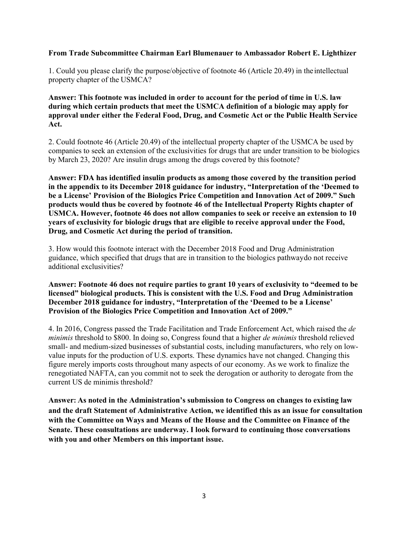### **From Trade Subcommittee Chairman Earl Blumenauer to Ambassador Robert E. Lighthizer**

1. Could you please clarify the purpose/objective of footnote 46 (Article 20.49) in theintellectual property chapter of the USMCA?

## **Answer: This footnote was included in order to account for the period of time in U.S. law during which certain products that meet the USMCA definition of a biologic may apply for approval under either the Federal Food, Drug, and Cosmetic Act or the Public Health Service Act.**

2. Could footnote 46 (Article 20.49) of the intellectual property chapter of the USMCA be used by companies to seek an extension of the exclusivities for drugs that are under transition to be biologics by March 23, 2020? Are insulin drugs among the drugs covered by thisfootnote?

**Answer: FDA has identified insulin products as among those covered by the transition period in the appendix to its December 2018 guidance for industry, "Interpretation of the 'Deemed to be a License' Provision of the Biologics Price Competition and Innovation Act of 2009." Such products would thus be covered by footnote 46 of the Intellectual Property Rights chapter of USMCA. However, footnote 46 does not allow companies to seek or receive an extension to 10 years of exclusivity for biologic drugs that are eligible to receive approval under the Food, Drug, and Cosmetic Act during the period of transition.**

3. How would this footnote interact with the December 2018 Food and Drug Administration guidance, which specified that drugs that are in transition to the biologics pathwaydo not receive additional exclusivities?

**Answer: Footnote 46 does not require parties to grant 10 years of exclusivity to "deemed to be licensed" biological products. This is consistent with the U.S. Food and Drug Administration December 2018 guidance for industry, "Interpretation of the 'Deemed to be a License' Provision of the Biologics Price Competition and Innovation Act of 2009."**

4. In 2016, Congress passed the Trade Facilitation and Trade Enforcement Act, which raised the *de minimis* threshold to \$800. In doing so, Congress found that a higher *de minimis* threshold relieved small- and medium-sized businesses of substantial costs, including manufacturers, who rely on lowvalue inputs for the production of U.S. exports. These dynamics have not changed. Changing this figure merely imports costs throughout many aspects of our economy. As we work to finalize the renegotiated NAFTA, can you commit not to seek the derogation or authority to derogate from the current US de minimis threshold?

**Answer: As noted in the Administration's submission to Congress on changes to existing law and the draft Statement of Administrative Action, we identified this as an issue for consultation with the Committee on Ways and Means of the House and the Committee on Finance of the Senate. These consultations are underway. I look forward to continuing those conversations with you and other Members on this important issue.**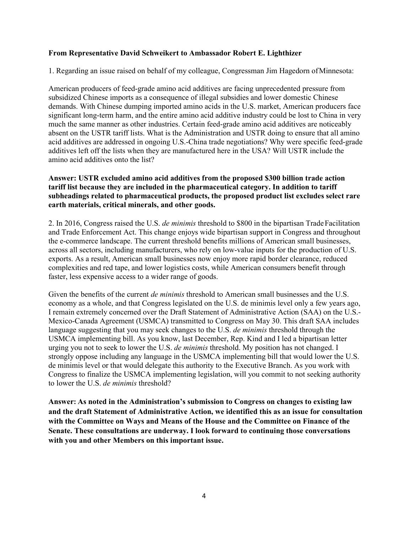### **From Representative David Schweikert to Ambassador Robert E. Lighthizer**

1. Regarding an issue raised on behalf of my colleague, Congressman Jim Hagedorn ofMinnesota:

American producers of feed-grade amino acid additives are facing unprecedented pressure from subsidized Chinese imports as a consequence of illegal subsidies and lower domestic Chinese demands. With Chinese dumping imported amino acids in the U.S. market, American producers face significant long-term harm, and the entire amino acid additive industry could be lost to China in very much the same manner as other industries. Certain feed-grade amino acid additives are noticeably absent on the USTR tariff lists. What is the Administration and USTR doing to ensure that all amino acid additives are addressed in ongoing U.S.-China trade negotiations? Why were specific feed-grade additives left off the lists when they are manufactured here in the USA? Will USTR include the amino acid additives onto the list?

### **Answer: USTR excluded amino acid additives from the proposed \$300 billion trade action tariff list because they are included in the pharmaceutical category. In addition to tariff subheadings related to pharmaceutical products, the proposed product list excludes select rare earth materials, critical minerals, and other goods.**

2. In 2016, Congress raised the U.S. *de minimis* threshold to \$800 in the bipartisan TradeFacilitation and Trade Enforcement Act. This change enjoys wide bipartisan support in Congress and throughout the e-commerce landscape. The current threshold benefits millions of American small businesses, across all sectors, including manufacturers, who rely on low-value inputs for the production of U.S. exports. As a result, American small businesses now enjoy more rapid border clearance, reduced complexities and red tape, and lower logistics costs, while American consumers benefit through faster, less expensive access to a wider range of goods.

Given the benefits of the current *de minimis* threshold to American small businesses and the U.S. economy as a whole, and that Congress legislated on the U.S. de minimis level only a few years ago, I remain extremely concerned over the Draft Statement of Administrative Action (SAA) on the U.S.- Mexico-Canada Agreement (USMCA) transmitted to Congress on May 30. This draft SAA includes language suggesting that you may seek changes to the U.S. *de minimis* threshold through the USMCA implementing bill. As you know, last December, Rep. Kind and I led a bipartisan letter urging you not to seek to lower the U.S. *de minimis* threshold. My position has not changed. I strongly oppose including any language in the USMCA implementing bill that would lower the U.S. de minimis level or that would delegate this authority to the Executive Branch. As you work with Congress to finalize the USMCA implementing legislation, will you commit to not seeking authority to lower the U.S. *de minimis* threshold?

**Answer: As noted in the Administration's submission to Congress on changes to existing law and the draft Statement of Administrative Action, we identified this as an issue for consultation with the Committee on Ways and Means of the House and the Committee on Finance of the Senate. These consultations are underway. I look forward to continuing those conversations with you and other Members on this important issue.**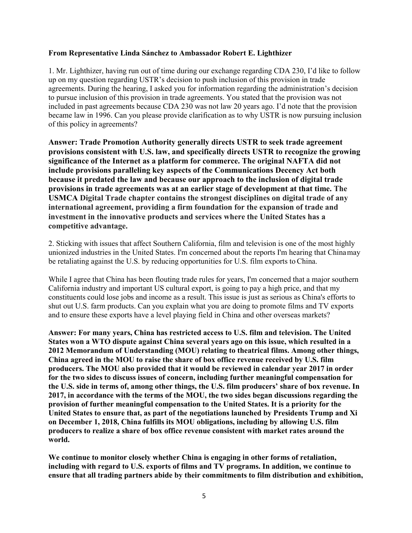### **From Representative Linda Sánchez to Ambassador Robert E. Lighthizer**

1. Mr. Lighthizer, having run out of time during our exchange regarding CDA 230, I'd like to follow up on my question regarding USTR's decision to push inclusion of this provision in trade agreements. During the hearing, I asked you for information regarding the administration's decision to pursue inclusion of this provision in trade agreements. You stated that the provision was not included in past agreements because CDA 230 was not law 20 years ago. I'd note that the provision became law in 1996. Can you please provide clarification as to why USTR is now pursuing inclusion of this policy in agreements?

**Answer: Trade Promotion Authority generally directs USTR to seek trade agreement provisions consistent with U.S. law, and specifically directs USTR to recognize the growing significance of the Internet as a platform for commerce. The original NAFTA did not include provisions paralleling key aspects of the Communications Decency Act both because it predated the law and because our approach to the inclusion of digital trade provisions in trade agreements was at an earlier stage of development at that time. The USMCA Digital Trade chapter contains the strongest disciplines on digital trade of any international agreement, providing a firm foundation for the expansion of trade and investment in the innovative products and services where the United States has a competitive advantage.**

2. Sticking with issues that affect Southern California, film and television is one of the most highly unionized industries in the United States. I'm concerned about the reports I'm hearing that Chinamay be retaliating against the U.S. by reducing opportunities for U.S. film exports to China.

While I agree that China has been flouting trade rules for years, I'm concerned that a major southern California industry and important US cultural export, is going to pay a high price, and that my constituents could lose jobs and income as a result. This issue is just as serious as China's efforts to shut out U.S. farm products. Can you explain what you are doing to promote films and TV exports and to ensure these exports have a level playing field in China and other overseas markets?

**Answer: For many years, China has restricted access to U.S. film and television. The United States won a WTO dispute against China several years ago on this issue, which resulted in a 2012 Memorandum of Understanding (MOU) relating to theatrical films. Among other things, China agreed in the MOU to raise the share of box office revenue received by U.S. film producers. The MOU also provided that it would be reviewed in calendar year 2017 in order for the two sides to discuss issues of concern, including further meaningful compensation for the U.S. side in terms of, among other things, the U.S. film producers' share of box revenue. In 2017, in accordance with the terms of the MOU, the two sides began discussions regarding the provision of further meaningful compensation to the United States. It is a priority for the United States to ensure that, as part of the negotiations launched by Presidents Trump and Xi on December 1, 2018, China fulfills its MOU obligations, including by allowing U.S. film producers to realize a share of box office revenue consistent with market rates around the world.**

**We continue to monitor closely whether China is engaging in other forms of retaliation, including with regard to U.S. exports of films and TV programs. In addition, we continue to ensure that all trading partners abide by their commitments to film distribution and exhibition,**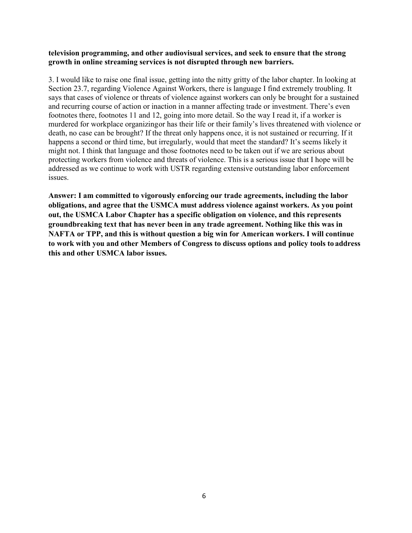### **television programming, and other audiovisual services, and seek to ensure that the strong growth in online streaming services is not disrupted through new barriers.**

3. I would like to raise one final issue, getting into the nitty gritty of the labor chapter. In looking at Section 23.7, regarding Violence Against Workers, there is language I find extremely troubling. It says that cases of violence or threats of violence against workers can only be brought for a sustained and recurring course of action or inaction in a manner affecting trade or investment. There's even footnotes there, footnotes 11 and 12, going into more detail. So the way I read it, if a worker is murdered for workplace organizingor has their life or their family's lives threatened with violence or death, no case can be brought? If the threat only happens once, it is not sustained or recurring. If it happens a second or third time, but irregularly, would that meet the standard? It's seems likely it might not. I think that language and those footnotes need to be taken out if we are serious about protecting workers from violence and threats of violence. This is a serious issue that I hope will be addressed as we continue to work with USTR regarding extensive outstanding labor enforcement issues.

**Answer: I am committed to vigorously enforcing our trade agreements, including the labor obligations, and agree that the USMCA must address violence against workers. As you point out, the USMCA Labor Chapter has a specific obligation on violence, and this represents groundbreaking text that has never been in any trade agreement. Nothing like this was in NAFTA or TPP, and this is without question a big win for American workers. I will continue to work with you and other Members of Congress to discuss options and policy tools to address this and other USMCA labor issues.**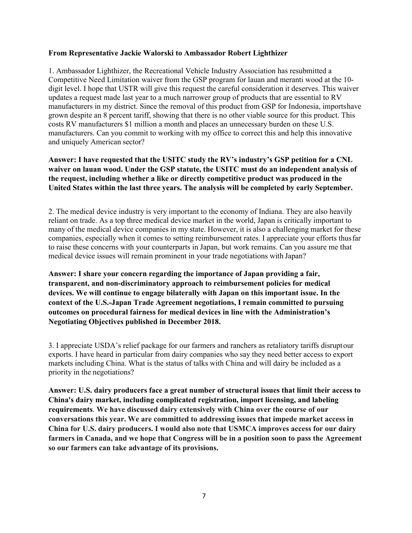### **From Representative Jackie Walorski to Ambassador Robert Lighthizer**

1. Ambassador Lighthizer, the Recreational Vehicle Industry Association has resubmitted a Competitive Need Limitation waiver from the GSP program for lauan and meranti wood at the 10 digit level. I hope that USTR will give this request the careful consideration it deserves. This waiver updates a request made last year to a much narrower group of products that are essential to RV manufacturers in my district. Since the removal of this product from GSP for Indonesia, importshave grown despite an 8 percent tariff, showing that there is no other viable source for this product. This costs RV manufacturers \$1 million a month and places an unnecessary burden on these U.S. manufacturers. Can you commit to working with my office to correct this and help this innovative and uniquely American sector?

# **Answer: I have requested that the USITC study the RV's industry's GSP petition for a CNL waiver on lauan wood. Under the GSP statute, the USITC must do an independent analysis of the request, including whether a like or directly competitive product was produced in the United States within the last three years. The analysis will be completed by early September.**

2. The medical device industry is very important to the economy of Indiana. They are also heavily reliant on trade. As a top three medical device market in the world, Japan is critically important to many of the medical device companies in my state. However, it is also a challenging market for these companies, especially when it comes to setting reimbursement rates. I appreciate your efforts thusfar to raise these concerns with your counterparts in Japan, but work remains. Can you assure me that medical device issues will remain prominent in your trade negotiations with Japan?

**Answer: I share your concern regarding the importance of Japan providing a fair, transparent, and non-discriminatory approach to reimbursement policies for medical devices. We will continue to engage bilaterally with Japan on this important issue. In the context of the U.S.-Japan Trade Agreement negotiations, I remain committed to pursuing outcomes on procedural fairness for medical devices in line with the Administration's Negotiating Objectives published in December 2018.**

3. I appreciate USDA's relief package for our farmers and ranchers as retaliatory tariffs disruptour exports. I have heard in particular from dairy companies who say they need better access to export markets including China. What is the status of talks with China and will dairy be included as a priority in the negotiations?

**Answer: U.S. dairy producers face a great number of structural issues that limit their access to China's dairy market, including complicated registration, import licensing, and labeling requirements**. **We have discussed dairy extensively with China over the course of our conversations this year. We are committed to addressing issues that impede market access in China for U.S. dairy producers. I would also note that USMCA improves access for our dairy farmers in Canada, and we hope that Congress will be in a position soon to pass the Agreement so our farmers can take advantage of its provisions.**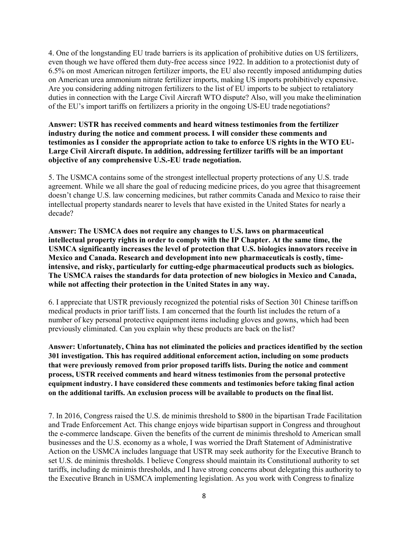4. One of the longstanding EU trade barriers is its application of prohibitive duties on US fertilizers, even though we have offered them duty-free access since 1922. In addition to a protectionist duty of 6.5% on most American nitrogen fertilizer imports, the EU also recently imposed antidumping duties on American urea ammonium nitrate fertilizer imports, making US imports prohibitively expensive. Are you considering adding nitrogen fertilizers to the list of EU imports to be subject to retaliatory duties in connection with the Large Civil Aircraft WTO dispute? Also, will you make theelimination of the EU's import tariffs on fertilizers a priority in the ongoing US-EU trade negotiations?

## **Answer: USTR has received comments and heard witness testimonies from the fertilizer industry during the notice and comment process. I will consider these comments and testimonies as I consider the appropriate action to take to enforce US rights in the WTO EU-Large Civil Aircraft dispute. In addition, addressing fertilizer tariffs will be an important objective of any comprehensive U.S.-EU trade negotiation.**

5. The USMCA contains some of the strongest intellectual property protections of any U.S. trade agreement. While we all share the goal of reducing medicine prices, do you agree that thisagreement doesn't change U.S. law concerning medicines, but rather commits Canada and Mexico to raise their intellectual property standards nearer to levels that have existed in the United States for nearly a decade?

**Answer: The USMCA does not require any changes to U.S. laws on pharmaceutical intellectual property rights in order to comply with the IP Chapter. At the same time, the USMCA significantly increases the level of protection that U.S. biologics innovators receive in Mexico and Canada. Research and development into new pharmaceuticals is costly, timeintensive, and risky, particularly for cutting-edge pharmaceutical products such as biologics. The USMCA raises the standards for data protection of new biologics in Mexico and Canada, while not affecting their protection in the United States in any way.**

6. I appreciate that USTR previously recognized the potential risks of Section 301 Chinese tariffson medical products in prior tariff lists. I am concerned that the fourth list includes the return of a number of key personal protective equipment items including gloves and gowns, which had been previously eliminated. Can you explain why these products are back on the list?

**Answer: Unfortunately, China has not eliminated the policies and practices identified by the section 301 investigation. This has required additional enforcement action, including on some products that were previously removed from prior proposed tariffs lists. During the notice and comment process, USTR received comments and heard witness testimonies from the personal protective equipment industry. I have considered these comments and testimonies before taking final action on the additional tariffs. An exclusion process will be available to products on the final list.**

7. In 2016, Congress raised the U.S. de minimis threshold to \$800 in the bipartisan Trade Facilitation and Trade Enforcement Act. This change enjoys wide bipartisan support in Congress and throughout the e-commerce landscape. Given the benefits of the current de minimis threshold to American small businesses and the U.S. economy as a whole, I was worried the Draft Statement of Administrative Action on the USMCA includes language that USTR may seek authority for the Executive Branch to set U.S. de minimis thresholds. I believe Congress should maintain its Constitutional authority to set tariffs, including de minimis thresholds, and I have strong concerns about delegating this authority to the Executive Branch in USMCA implementing legislation. As you work with Congress to finalize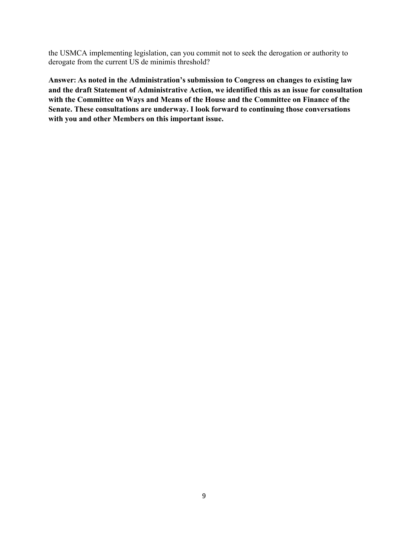the USMCA implementing legislation, can you commit not to seek the derogation or authority to derogate from the current US de minimis threshold?

**Answer: As noted in the Administration's submission to Congress on changes to existing law and the draft Statement of Administrative Action, we identified this as an issue for consultation with the Committee on Ways and Means of the House and the Committee on Finance of the Senate. These consultations are underway. I look forward to continuing those conversations with you and other Members on this important issue.**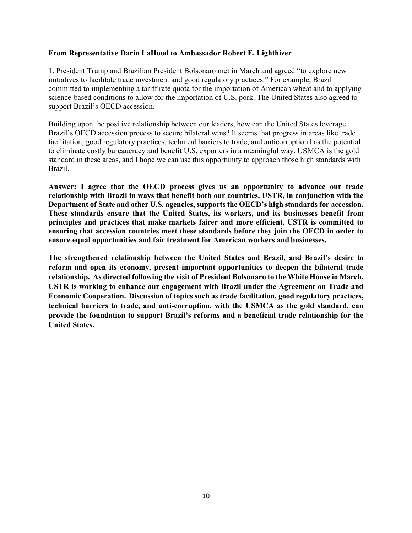### **From Representative Darin LaHood to Ambassador Robert E. Lighthizer**

1. President Trump and Brazilian President Bolsonaro met in March and agreed "to explore new initiatives to facilitate trade investment and good regulatory practices." For example, Brazil committed to implementing a tariff rate quota for the importation of American wheat and to applying science-based conditions to allow for the importation of U.S. pork. The United States also agreed to support Brazil's OECD accession.

Building upon the positive relationship between our leaders, how can the United States leverage Brazil's OECD accession process to secure bilateral wins? It seems that progress in areas like trade facilitation, good regulatory practices, technical barriers to trade, and anticorruption has the potential to eliminate costly bureaucracy and benefit U.S. exporters in a meaningful way. USMCA is the gold standard in these areas, and I hope we can use this opportunity to approach those high standards with Brazil.

**Answer: I agree that the OECD process gives us an opportunity to advance our trade relationship with Brazil in ways that benefit both our countries. USTR, in conjunction with the Department of State and other U.S. agencies, supports the OECD's high standards for accession. These standards ensure that the United States, its workers, and its businesses benefit from principles and practices that make markets fairer and more efficient. USTR is committed to ensuring that accession countries meet these standards before they join the OECD in order to ensure equal opportunities and fair treatment for American workers and businesses.**

**The strengthened relationship between the United States and Brazil, and Brazil's desire to reform and open its economy, present important opportunities to deepen the bilateral trade relationship. As directed following the visit of President Bolsonaro to the White House in March, USTR is working to enhance our engagement with Brazil under the Agreement on Trade and Economic Cooperation. Discussion of topics such as trade facilitation, good regulatory practices, technical barriers to trade, and anti-corruption, with the USMCA as the gold standard, can provide the foundation to support Brazil's reforms and a beneficial trade relationship for the United States.**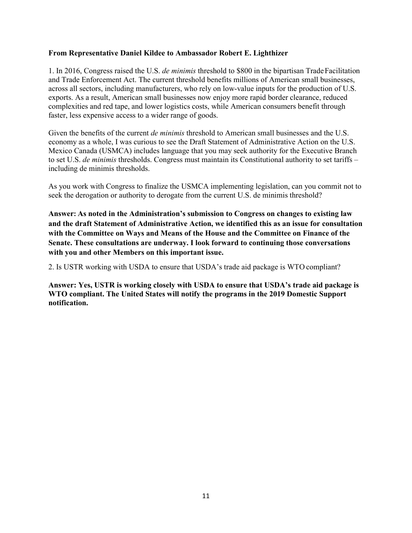### **From Representative Daniel Kildee to Ambassador Robert E. Lighthizer**

1. In 2016, Congress raised the U.S. *de minimis* threshold to \$800 in the bipartisan TradeFacilitation and Trade Enforcement Act. The current threshold benefits millions of American small businesses, across all sectors, including manufacturers, who rely on low-value inputs for the production of U.S. exports. As a result, American small businesses now enjoy more rapid border clearance, reduced complexities and red tape, and lower logistics costs, while American consumers benefit through faster, less expensive access to a wider range of goods.

Given the benefits of the current *de minimis* threshold to American small businesses and the U.S. economy as a whole, I was curious to see the Draft Statement of Administrative Action on the U.S. Mexico Canada (USMCA) includes language that you may seek authority for the Executive Branch to set U.S. *de minimis* thresholds. Congress must maintain its Constitutional authority to set tariffs – including de minimis thresholds.

As you work with Congress to finalize the USMCA implementing legislation, can you commit not to seek the derogation or authority to derogate from the current U.S. de minimis threshold?

**Answer: As noted in the Administration's submission to Congress on changes to existing law and the draft Statement of Administrative Action, we identified this as an issue for consultation with the Committee on Ways and Means of the House and the Committee on Finance of the Senate. These consultations are underway. I look forward to continuing those conversations with you and other Members on this important issue.**

2. Is USTR working with USDA to ensure that USDA's trade aid package is WTO compliant?

**Answer: Yes, USTR is working closely with USDA to ensure that USDA's trade aid package is WTO compliant. The United States will notify the programs in the 2019 Domestic Support notification.**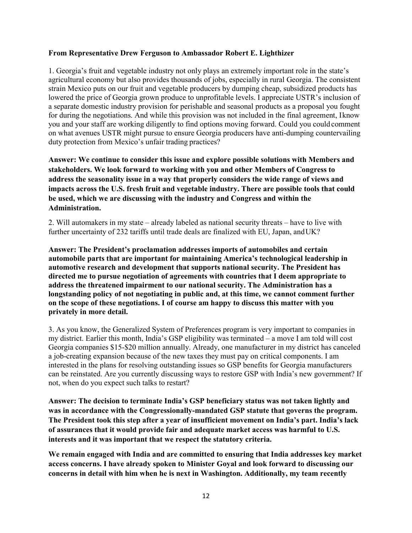### **From Representative Drew Ferguson to Ambassador Robert E. Lighthizer**

1. Georgia's fruit and vegetable industry not only plays an extremely important role in the state's agricultural economy but also provides thousands of jobs, especially in rural Georgia. The consistent strain Mexico puts on our fruit and vegetable producers by dumping cheap, subsidized products has lowered the price of Georgia grown produce to unprofitable levels. I appreciate USTR's inclusion of a separate domestic industry provision for perishable and seasonal products as a proposal you fought for during the negotiations. And while this provision was not included in the final agreement, Iknow you and your staff are working diligently to find options moving forward. Could you could comment on what avenues USTR might pursue to ensure Georgia producers have anti-dumping countervailing duty protection from Mexico's unfair trading practices?

**Answer: We continue to consider this issue and explore possible solutions with Members and stakeholders. We look forward to working with you and other Members of Congress to address the seasonality issue in a way that properly considers the wide range of views and impacts across the U.S. fresh fruit and vegetable industry. There are possible tools that could be used, which we are discussing with the industry and Congress and within the Administration.**

2. Will automakers in my state – already labeled as national security threats – have to live with further uncertainty of 232 tariffs until trade deals are finalized with EU, Japan, andUK?

**Answer: The President's proclamation addresses imports of automobiles and certain automobile parts that are important for maintaining America's technological leadership in automotive research and development that supports national security. The President has directed me to pursue negotiation of agreements with countries that I deem appropriate to address the threatened impairment to our national security. The Administration has a longstanding policy of not negotiating in public and, at this time, we cannot comment further on the scope of these negotiations. I of course am happy to discuss this matter with you privately in more detail.**

3. As you know, the Generalized System of Preferences program is very important to companies in my district. Earlier this month, India's GSP eligibility was terminated – a move I am told will cost Georgia companies \$15-\$20 million annually. Already, one manufacturer in my district has canceled a job-creating expansion because of the new taxes they must pay on critical components. I am interested in the plans for resolving outstanding issues so GSP benefits for Georgia manufacturers can be reinstated. Are you currently discussing ways to restore GSP with India's new government? If not, when do you expect such talks to restart?

**Answer: The decision to terminate India's GSP beneficiary status was not taken lightly and was in accordance with the Congressionally-mandated GSP statute that governs the program. The President took this step after a year of insufficient movement on India's part. India's lack of assurances that it would provide fair and adequate market access was harmful to U.S. interests and it was important that we respect the statutory criteria.**

**We remain engaged with India and are committed to ensuring that India addresses key market access concerns. I have already spoken to Minister Goyal and look forward to discussing our concerns in detail with him when he is next in Washington. Additionally, my team recently**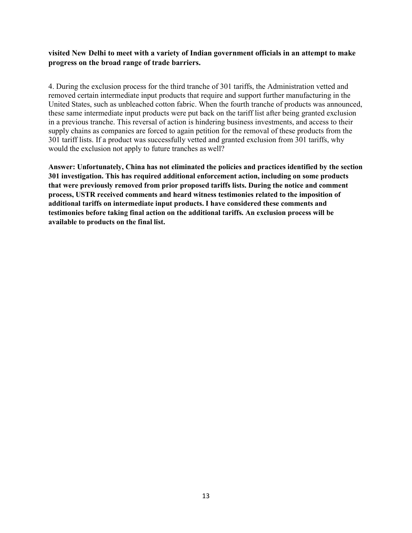**visited New Delhi to meet with a variety of Indian government officials in an attempt to make progress on the broad range of trade barriers.**

4. During the exclusion process for the third tranche of 301 tariffs, the Administration vetted and removed certain intermediate input products that require and support further manufacturing in the United States, such as unbleached cotton fabric. When the fourth tranche of products was announced, these same intermediate input products were put back on the tariff list after being granted exclusion in a previous tranche. This reversal of action is hindering business investments, and access to their supply chains as companies are forced to again petition for the removal of these products from the 301 tariff lists. If a product was successfully vetted and granted exclusion from 301 tariffs, why would the exclusion not apply to future tranches as well?

**Answer: Unfortunately, China has not eliminated the policies and practices identified by the section 301 investigation. This has required additional enforcement action, including on some products that were previously removed from prior proposed tariffs lists. During the notice and comment process, USTR received comments and heard witness testimonies related to the imposition of additional tariffs on intermediate input products. I have considered these comments and testimonies before taking final action on the additional tariffs. An exclusion process will be available to products on the final list.**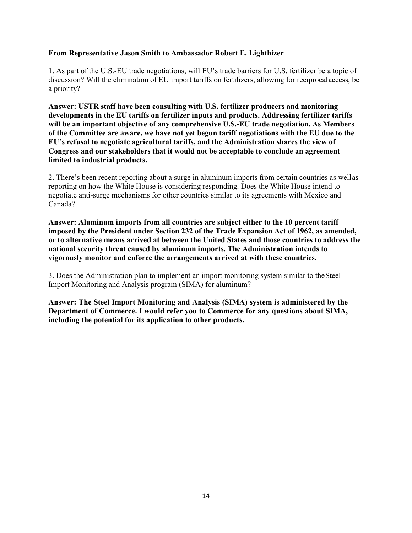### **From Representative Jason Smith to Ambassador Robert E. Lighthizer**

1. As part of the U.S.-EU trade negotiations, will EU's trade barriers for U.S. fertilizer be a topic of discussion? Will the elimination of EU import tariffs on fertilizers, allowing for reciprocalaccess, be a priority?

**Answer: USTR staff have been consulting with U.S. fertilizer producers and monitoring developments in the EU tariffs on fertilizer inputs and products. Addressing fertilizer tariffs will be an important objective of any comprehensive U.S.-EU trade negotiation. As Members of the Committee are aware, we have not yet begun tariff negotiations with the EU due to the EU's refusal to negotiate agricultural tariffs, and the Administration shares the view of Congress and our stakeholders that it would not be acceptable to conclude an agreement limited to industrial products.**

2. There's been recent reporting about a surge in aluminum imports from certain countries as wellas reporting on how the White House is considering responding. Does the White House intend to negotiate anti-surge mechanisms for other countries similar to its agreements with Mexico and Canada?

**Answer: Aluminum imports from all countries are subject either to the 10 percent tariff imposed by the President under Section 232 of the Trade Expansion Act of 1962, as amended, or to alternative means arrived at between the United States and those countries to address the national security threat caused by aluminum imports. The Administration intends to vigorously monitor and enforce the arrangements arrived at with these countries.**

3. Does the Administration plan to implement an import monitoring system similar to theSteel Import Monitoring and Analysis program (SIMA) for aluminum?

**Answer: The Steel Import Monitoring and Analysis (SIMA) system is administered by the Department of Commerce. I would refer you to Commerce for any questions about SIMA, including the potential for its application to other products.**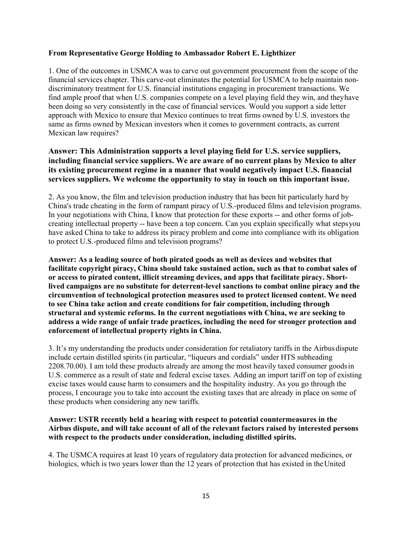### **From Representative George Holding to Ambassador Robert E. Lighthizer**

1. One of the outcomes in USMCA was to carve out government procurement from the scope of the financial services chapter. This carve-out eliminates the potential for USMCA to help maintain nondiscriminatory treatment for U.S. financial institutions engaging in procurement transactions. We find ample proof that when U.S. companies compete on a level playing field they win, and theyhave been doing so very consistently in the case of financial services. Would you support a side letter approach with Mexico to ensure that Mexico continues to treat firms owned by U.S. investors the same as firms owned by Mexican investors when it comes to government contracts, as current Mexican law requires?

# **Answer: This Administration supports a level playing field for U.S. service suppliers, including financial service suppliers. We are aware of no current plans by Mexico to alter its existing procurement regime in a manner that would negatively impact U.S. financial services suppliers. We welcome the opportunity to stay in touch on this important issue.**

2. As you know, the film and television production industry that has been hit particularly hard by China's trade cheating in the form of rampant piracy of U.S.-produced films and television programs. In your negotiations with China, I know that protection for these exports -- and other forms of jobcreating intellectual property -- have been a top concern. Can you explain specifically what stepsyou have asked China to take to address its piracy problem and come into compliance with its obligation to protect U.S.-produced films and television programs?

**Answer: As a leading source of both pirated goods as well as devices and websites that facilitate copyright piracy, China should take sustained action, such as that to combat sales of or access to pirated content, illicit streaming devices, and apps that facilitate piracy. Shortlived campaigns are no substitute for deterrent-level sanctions to combat online piracy and the circumvention of technological protection measures used to protect licensed content. We need to see China take action and create conditions for fair competition, including through structural and systemic reforms. In the current negotiations with China, we are seeking to address a wide range of unfair trade practices, including the need for stronger protection and enforcement of intellectual property rights in China.**

3. It's my understanding the products under consideration for retaliatory tariffs in the Airbusdispute include certain distilled spirits (in particular, "liqueurs and cordials" under HTS subheading 2208.70.00). I am told these products already are among the most heavily taxed consumer goodsin U.S. commerce as a result of state and federal excise taxes. Adding an import tariff on top of existing excise taxes would cause harm to consumers and the hospitality industry. As you go through the process, I encourage you to take into account the existing taxes that are already in place on some of these products when considering any new tariffs.

# **Answer: USTR recently held a hearing with respect to potential countermeasures in the Airbus dispute, and will take account of all of the relevant factors raised by interested persons with respect to the products under consideration, including distilled spirits.**

4. The USMCA requires at least 10 years of regulatory data protection for advanced medicines, or biologics, which is two years lower than the 12 years of protection that has existed in theUnited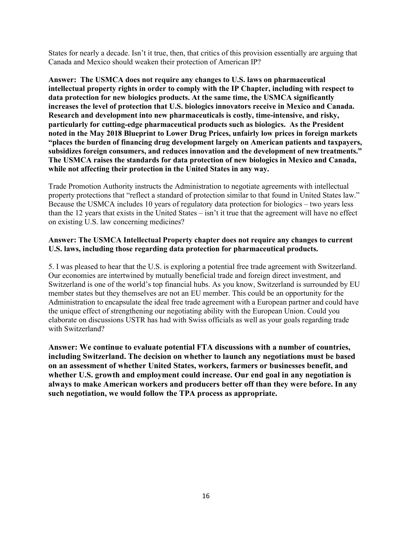States for nearly a decade. Isn't it true, then, that critics of this provision essentially are arguing that Canada and Mexico should weaken their protection of American IP?

**Answer: The USMCA does not require any changes to U.S. laws on pharmaceutical intellectual property rights in order to comply with the IP Chapter, including with respect to data protection for new biologics products. At the same time, the USMCA significantly increases the level of protection that U.S. biologics innovators receive in Mexico and Canada. Research and development into new pharmaceuticals is costly, time-intensive, and risky, particularly for cutting-edge pharmaceutical products such as biologics. As the President noted in the May 2018 Blueprint to Lower Drug Prices, unfairly low prices in foreign markets "places the burden of financing drug development largely on American patients and taxpayers, subsidizes foreign consumers, and reduces innovation and the development of newtreatments." The USMCA raises the standards for data protection of new biologics in Mexico and Canada, while not affecting their protection in the United States in any way.**

Trade Promotion Authority instructs the Administration to negotiate agreements with intellectual property protections that "reflect a standard of protection similar to that found in United States law." Because the USMCA includes 10 years of regulatory data protection for biologics – two years less than the 12 years that exists in the United States – isn't it true that the agreement will have no effect on existing U.S. law concerning medicines?

## **Answer: The USMCA Intellectual Property chapter does not require any changes to current U.S. laws, including those regarding data protection for pharmaceutical products.**

5. I was pleased to hear that the U.S. is exploring a potential free trade agreement with Switzerland. Our economies are intertwined by mutually beneficial trade and foreign direct investment, and Switzerland is one of the world's top financial hubs. As you know, Switzerland is surrounded by EU member states but they themselves are not an EU member. This could be an opportunity for the Administration to encapsulate the ideal free trade agreement with a European partner and could have the unique effect of strengthening our negotiating ability with the European Union. Could you elaborate on discussions USTR has had with Swiss officials as well as your goals regarding trade with Switzerland?

**Answer: We continue to evaluate potential FTA discussions with a number of countries, including Switzerland. The decision on whether to launch any negotiations must be based on an assessment of whether United States, workers, farmers or businesses benefit, and whether U.S. growth and employment could increase. Our end goal in any negotiation is always to make American workers and producers better off than they were before. In any such negotiation, we would follow the TPA process as appropriate.**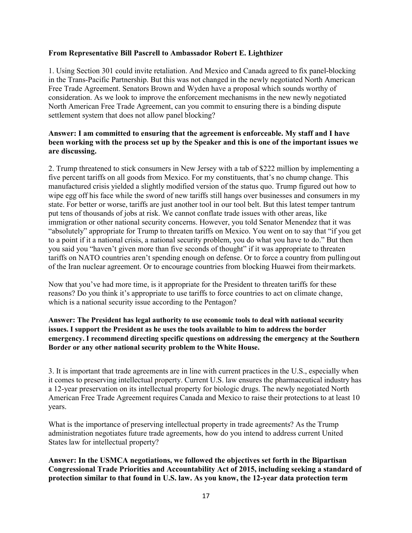### **From Representative Bill Pascrell to Ambassador Robert E. Lighthizer**

1. Using Section 301 could invite retaliation. And Mexico and Canada agreed to fix panel-blocking in the Trans-Pacific Partnership. But this was not changed in the newly negotiated North American Free Trade Agreement. Senators Brown and Wyden have a proposal which sounds worthy of consideration. As we look to improve the enforcement mechanisms in the new newly negotiated North American Free Trade Agreement, can you commit to ensuring there is a binding dispute settlement system that does not allow panel blocking?

## **Answer: I am committed to ensuring that the agreement is enforceable. My staff and I have been working with the process set up by the Speaker and this is one of the important issues we are discussing.**

2. Trump threatened to stick consumers in New Jersey with a tab of \$222 million by implementing a five percent tariffs on all goods from Mexico. For my constituents, that's no chump change. This manufactured crisis yielded a slightly modified version of the status quo. Trump figured out how to wipe egg off his face while the sword of new tariffs still hangs over businesses and consumers in my state. For better or worse, tariffs are just another tool in our tool belt. But this latest temper tantrum put tens of thousands of jobs at risk. We cannot conflate trade issues with other areas, like immigration or other national security concerns. However, you told Senator Menendez that it was "absolutely" appropriate for Trump to threaten tariffs on Mexico. You went on to say that "if you get to a point if it a national crisis, a national security problem, you do what you have to do." But then you said you "haven't given more than five seconds of thought" if it was appropriate to threaten tariffs on NATO countries aren't spending enough on defense. Or to force a country from pullingout of the Iran nuclear agreement. Or to encourage countries from blocking Huawei from theirmarkets.

Now that you've had more time, is it appropriate for the President to threaten tariffs for these reasons? Do you think it's appropriate to use tariffs to force countries to act on climate change, which is a national security issue according to the Pentagon?

## **Answer: The President has legal authority to use economic tools to deal with national security issues. I support the President as he uses the tools available to him to address the border emergency. I recommend directing specific questions on addressing the emergency at the Southern Border or any other national security problem to the White House.**

3. It is important that trade agreements are in line with current practices in the U.S., especially when it comes to preserving intellectual property. Current U.S. law ensures the pharmaceutical industry has a 12-year preservation on its intellectual property for biologic drugs. The newly negotiated North American Free Trade Agreement requires Canada and Mexico to raise their protections to at least 10 years.

What is the importance of preserving intellectual property in trade agreements? As the Trump administration negotiates future trade agreements, how do you intend to address current United States law for intellectual property?

**Answer: In the USMCA negotiations, we followed the objectives set forth in the Bipartisan Congressional Trade Priorities and Accountability Act of 2015, including seeking a standard of protection similar to that found in U.S. law. As you know, the 12-year data protection term**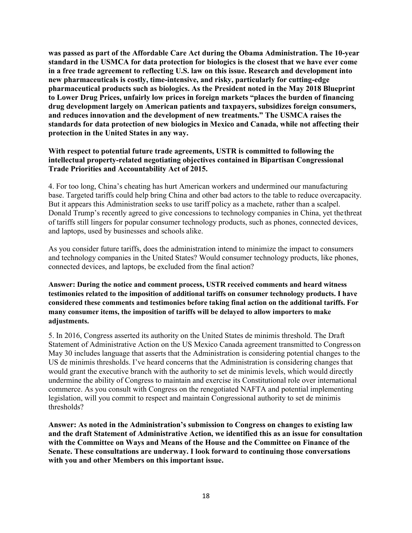**was passed as part of the Affordable Care Act during the Obama Administration. The 10-year standard in the USMCA for data protection for biologics is the closest that we have ever come in a free trade agreement to reflecting U.S. law on this issue. Research and development into new pharmaceuticals is costly, time-intensive, and risky, particularly for cutting-edge pharmaceutical products such as biologics. As the President noted in the May 2018 Blueprint to Lower Drug Prices, unfairly low prices in foreign markets "places the burden of financing drug development largely on American patients and taxpayers, subsidizes foreign consumers, and reduces innovation and the development of new treatments." The USMCA raises the standards for data protection of new biologics in Mexico and Canada, while not affecting their protection in the United States in any way.**

## **With respect to potential future trade agreements, USTR is committed to following the intellectual property-related negotiating objectives contained in Bipartisan Congressional Trade Priorities and Accountability Act of 2015.**

4. For too long, China's cheating has hurt American workers and undermined our manufacturing base. Targeted tariffs could help bring China and other bad actors to the table to reduce overcapacity. But it appears this Administration seeks to use tariff policy as a machete, rather than a scalpel. Donald Trump's recently agreed to give concessions to technology companies in China, yet thethreat of tariffs still lingers for popular consumer technology products, such as phones, connected devices, and laptops, used by businesses and schools alike.

As you consider future tariffs, does the administration intend to minimize the impact to consumers and technology companies in the United States? Would consumer technology products, like phones, connected devices, and laptops, be excluded from the final action?

**Answer: During the notice and comment process, USTR received comments and heard witness testimonies related to the imposition of additional tariffs on consumer technology products. I have considered these comments and testimonies before taking final action on the additional tariffs. For many consumer items, the imposition of tariffs will be delayed to allow importers to make adjustments.**

5. In 2016, Congress asserted its authority on the United States de minimis threshold. The Draft Statement of Administrative Action on the US Mexico Canada agreement transmitted to Congresson May 30 includes language that asserts that the Administration is considering potential changes to the US de minimis thresholds. I've heard concerns that the Administration is considering changes that would grant the executive branch with the authority to set de minimis levels, which would directly undermine the ability of Congress to maintain and exercise its Constitutional role over international commerce. As you consult with Congress on the renegotiated NAFTA and potential implementing legislation, will you commit to respect and maintain Congressional authority to set de minimis thresholds?

**Answer: As noted in the Administration's submission to Congress on changes to existing law and the draft Statement of Administrative Action, we identified this as an issue for consultation with the Committee on Ways and Means of the House and the Committee on Finance of the Senate. These consultations are underway. I look forward to continuing those conversations with you and other Members on this important issue.**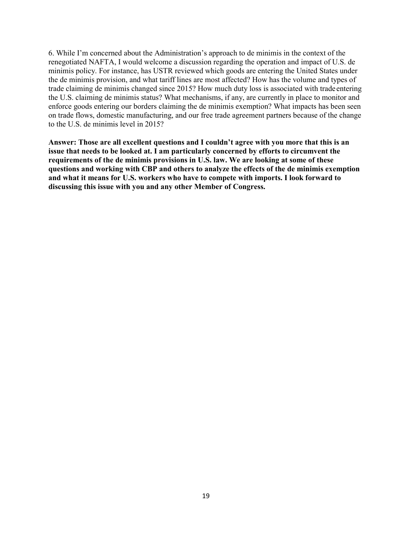6. While I'm concerned about the Administration's approach to de minimis in the context of the renegotiated NAFTA, I would welcome a discussion regarding the operation and impact of U.S. de minimis policy. For instance, has USTR reviewed which goods are entering the United States under the de minimis provision, and what tariff lines are most affected? How has the volume and types of trade claiming de minimis changed since 2015? How much duty loss is associated with trade entering the U.S. claiming de minimis status? What mechanisms, if any, are currently in place to monitor and enforce goods entering our borders claiming the de minimis exemption? What impacts has been seen on trade flows, domestic manufacturing, and our free trade agreement partners because of the change to the U.S. de minimis level in 2015?

**Answer: Those are all excellent questions and I couldn't agree with you more that this is an issue that needs to be looked at. I am particularly concerned by efforts to circumvent the requirements of the de minimis provisions in U.S. law. We are looking at some of these questions and working with CBP and others to analyze the effects of the de minimis exemption and what it means for U.S. workers who have to compete with imports. I look forward to discussing this issue with you and any other Member of Congress.**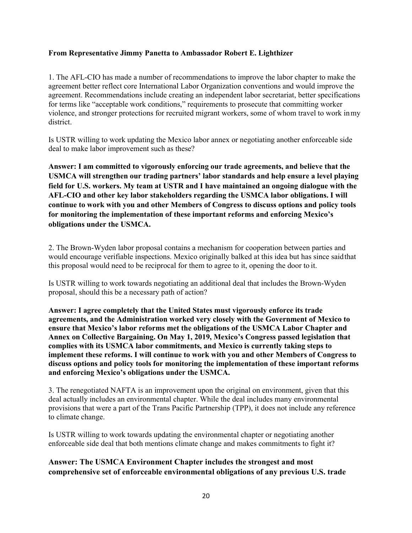## **From Representative Jimmy Panetta to Ambassador Robert E. Lighthizer**

1. The AFL-CIO has made a number of recommendations to improve the labor chapter to make the agreement better reflect core International Labor Organization conventions and would improve the agreement. Recommendations include creating an independent labor secretariat, better specifications for terms like "acceptable work conditions," requirements to prosecute that committing worker violence, and stronger protections for recruited migrant workers, some of whom travel to work inmy district.

Is USTR willing to work updating the Mexico labor annex or negotiating another enforceable side deal to make labor improvement such as these?

**Answer: I am committed to vigorously enforcing our trade agreements, and believe that the USMCA will strengthen our trading partners' labor standards and help ensure a level playing field for U.S. workers. My team at USTR and I have maintained an ongoing dialogue with the AFL-CIO and other key labor stakeholders regarding the USMCA labor obligations. I will continue to work with you and other Members of Congress to discuss options and policy tools for monitoring the implementation of these important reforms and enforcing Mexico's obligations under the USMCA.**

2. The Brown-Wyden labor proposal contains a mechanism for cooperation between parties and would encourage verifiable inspections. Mexico originally balked at this idea but has since saidthat this proposal would need to be reciprocal for them to agree to it, opening the door to it.

Is USTR willing to work towards negotiating an additional deal that includes the Brown-Wyden proposal, should this be a necessary path of action?

**Answer: I agree completely that the United States must vigorously enforce its trade agreements, and the Administration worked very closely with the Government of Mexico to ensure that Mexico's labor reforms met the obligations of the USMCA Labor Chapter and Annex on Collective Bargaining. On May 1, 2019, Mexico's Congress passed legislation that complies with its USMCA labor commitments, and Mexico is currently taking steps to implement these reforms. I will continue to work with you and other Members of Congress to discuss options and policy tools for monitoring the implementation of these important reforms and enforcing Mexico's obligations under the USMCA.**

3. The renegotiated NAFTA is an improvement upon the original on environment, given that this deal actually includes an environmental chapter. While the deal includes many environmental provisions that were a part of the Trans Pacific Partnership (TPP), it does not include any reference to climate change.

Is USTR willing to work towards updating the environmental chapter or negotiating another enforceable side deal that both mentions climate change and makes commitments to fight it?

**Answer: The USMCA Environment Chapter includes the strongest and most comprehensive set of enforceable environmental obligations of any previous U.S. trade**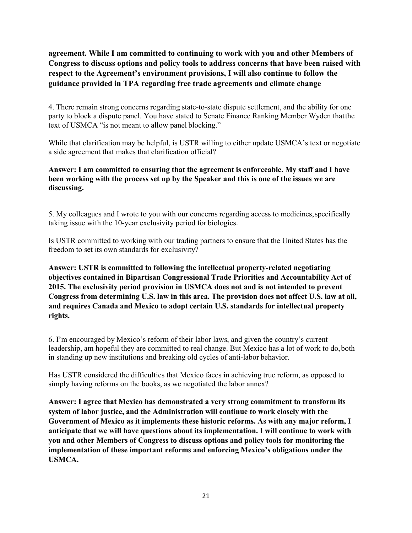**agreement. While I am committed to continuing to work with you and other Members of Congress to discuss options and policy tools to address concerns that have been raised with respect to the Agreement's environment provisions, I will also continue to follow the guidance provided in TPA regarding free trade agreements and climate change**

4. There remain strong concerns regarding state-to-state dispute settlement, and the ability for one party to block a dispute panel. You have stated to Senate Finance Ranking Member Wyden thatthe text of USMCA "is not meant to allow panel blocking."

While that clarification may be helpful, is USTR willing to either update USMCA's text or negotiate a side agreement that makes that clarification official?

# **Answer: I am committed to ensuring that the agreement is enforceable. My staff and I have been working with the process set up by the Speaker and this is one of the issues we are discussing.**

5. My colleagues and I wrote to you with our concerns regarding access to medicines,specifically taking issue with the 10-year exclusivity period for biologics.

Is USTR committed to working with our trading partners to ensure that the United States has the freedom to set its own standards for exclusivity?

**Answer: USTR is committed to following the intellectual property-related negotiating objectives contained in Bipartisan Congressional Trade Priorities and Accountability Act of 2015. The exclusivity period provision in USMCA does not and is not intended to prevent Congress from determining U.S. law in this area. The provision does not affect U.S. law at all, and requires Canada and Mexico to adopt certain U.S. standards for intellectual property rights.**

6. I'm encouraged by Mexico's reform of their labor laws, and given the country's current leadership, am hopeful they are committed to real change. But Mexico has a lot of work to do, both in standing up new institutions and breaking old cycles of anti-labor behavior.

Has USTR considered the difficulties that Mexico faces in achieving true reform, as opposed to simply having reforms on the books, as we negotiated the labor annex?

**Answer: I agree that Mexico has demonstrated a very strong commitment to transform its system of labor justice, and the Administration will continue to work closely with the Government of Mexico as it implements these historic reforms. As with any major reform, I anticipate that we will have questions about its implementation. I will continue to work with you and other Members of Congress to discuss options and policy tools for monitoring the implementation of these important reforms and enforcing Mexico's obligations under the USMCA.**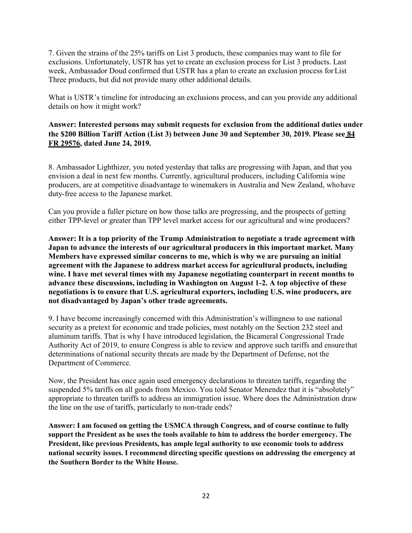7. Given the strains of the 25% tariffs on List 3 products, these companies may want to file for exclusions. Unfortunately, USTR has yet to create an exclusion process for List 3 products. Last week, Ambassador Doud confirmed that USTR has a plan to create an exclusion process forList Three products, but did not provide many other additional details.

What is USTR's timeline for introducing an exclusions process, and can you provide any additional details on how it might work?

# **Answer: Interested persons may submit requests for exclusion from the additional duties under the \$200 Billion Tariff Action (List 3) between June 30 and September 30, 2019. Please see [84](https://www.federalregister.gov/documents/2019/06/24/2019-13376/procedures-for-requests-to-exclude-particular-products-from-the-september-2018-action-pursuant-to) [FR 29576,](https://www.federalregister.gov/documents/2019/06/24/2019-13376/procedures-for-requests-to-exclude-particular-products-from-the-september-2018-action-pursuant-to) dated June 24, 2019.**

8. Ambassador Lighthizer, you noted yesterday that talks are progressing with Japan, and that you envision a deal in next few months. Currently, agricultural producers, including California wine producers, are at competitive disadvantage to winemakers in Australia and New Zealand, whohave duty-free access to the Japanese market.

Can you provide a fuller picture on how those talks are progressing, and the prospects of getting either TPP-level or greater than TPP level market access for our agricultural and wine producers?

**Answer: It is a top priority of the Trump Administration to negotiate a trade agreement with Japan to advance the interests of our agricultural producers in this important market. Many Members have expressed similar concerns to me, which is why we are pursuing an initial agreement with the Japanese to address market access for agricultural products, including wine. I have met several times with my Japanese negotiating counterpart in recent months to advance these discussions, including in Washington on August 1-2. A top objective of these negotiations is to ensure that U.S. agricultural exporters, including U.S. wine producers, are not disadvantaged by Japan's other trade agreements.**

9. I have become increasingly concerned with this Administration's willingness to use national security as a pretext for economic and trade policies, most notably on the Section 232 steel and aluminum tariffs. That is why I have introduced legislation, the Bicameral Congressional Trade Authority Act of 2019, to ensure Congress is able to review and approve such tariffs and ensure that determinations of national security threats are made by the Department of Defense, not the Department of Commerce.

Now, the President has once again used emergency declarations to threaten tariffs, regarding the suspended 5% tariffs on all goods from Mexico. You told Senator Menendez that it is "absolutely" appropriate to threaten tariffs to address an immigration issue. Where does the Administration draw the line on the use of tariffs, particularly to non-trade ends?

**Answer: I am focused on getting the USMCA through Congress, and of course continue to fully support the President as he uses the tools available to him to address the border emergency. The President, like previous Presidents, has ample legal authority to use economic tools to address national security issues. I recommend directing specific questions on addressing the emergency at the Southern Border to the White House.**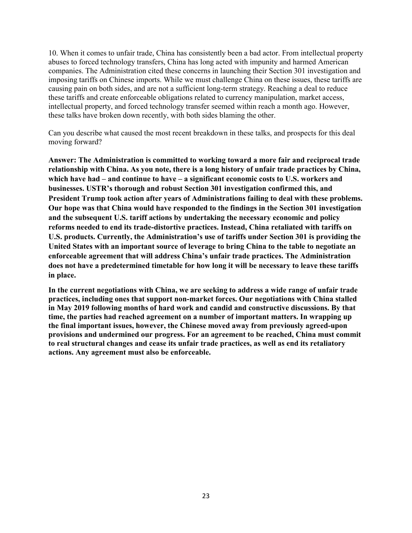10. When it comes to unfair trade, China has consistently been a bad actor. From intellectual property abuses to forced technology transfers, China has long acted with impunity and harmed American companies. The Administration cited these concerns in launching their Section 301 investigation and imposing tariffs on Chinese imports. While we must challenge China on these issues, these tariffs are causing pain on both sides, and are not a sufficient long-term strategy. Reaching a deal to reduce these tariffs and create enforceable obligations related to currency manipulation, market access, intellectual property, and forced technology transfer seemed within reach a month ago. However, these talks have broken down recently, with both sides blaming the other.

Can you describe what caused the most recent breakdown in these talks, and prospects for this deal moving forward?

**Answer: The Administration is committed to working toward a more fair and reciprocal trade relationship with China. As you note, there is a long history of unfair trade practices by China, which have had – and continue to have – a significant economic costs to U.S. workers and businesses. USTR's thorough and robust Section 301 investigation confirmed this, and President Trump took action after years of Administrations failing to deal with these problems. Our hope was that China would have responded to the findings in the Section 301 investigation and the subsequent U.S. tariff actions by undertaking the necessary economic and policy reforms needed to end its trade-distortive practices. Instead, China retaliated with tariffs on U.S. products. Currently, the Administration's use of tariffs under Section 301 is providing the United States with an important source of leverage to bring China to the table to negotiate an enforceable agreement that will address China's unfair trade practices. The Administration does not have a predetermined timetable for how long it will be necessary to leave these tariffs in place.**

**In the current negotiations with China, we are seeking to address a wide range of unfair trade practices, including ones that support non-market forces. Our negotiations with China stalled in May 2019 following months of hard work and candid and constructive discussions. By that time, the parties had reached agreement on a number of important matters. In wrapping up the final important issues, however, the Chinese moved away from previously agreed-upon provisions and undermined our progress. For an agreement to be reached, China must commit to real structural changes and cease its unfair trade practices, as well as end its retaliatory actions. Any agreement must also be enforceable.**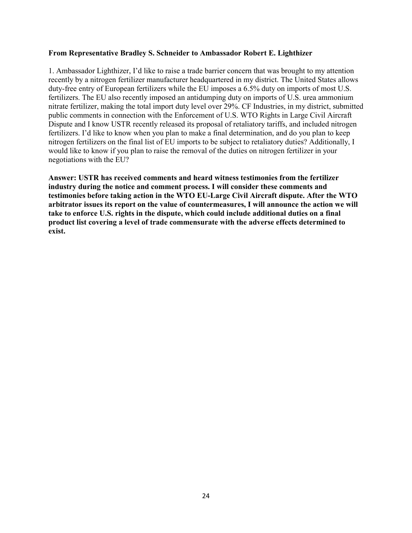#### **From Representative Bradley S. Schneider to Ambassador Robert E. Lighthizer**

1. Ambassador Lighthizer, I'd like to raise a trade barrier concern that was brought to my attention recently by a nitrogen fertilizer manufacturer headquartered in my district. The United States allows duty-free entry of European fertilizers while the EU imposes a 6.5% duty on imports of most U.S. fertilizers. The EU also recently imposed an antidumping duty on imports of U.S. urea ammonium nitrate fertilizer, making the total import duty level over 29%. CF Industries, in my district, submitted public comments in connection with the Enforcement of U.S. WTO Rights in Large Civil Aircraft Dispute and I know USTR recently released its proposal of retaliatory tariffs, and included nitrogen fertilizers. I'd like to know when you plan to make a final determination, and do you plan to keep nitrogen fertilizers on the final list of EU imports to be subject to retaliatory duties? Additionally, I would like to know if you plan to raise the removal of the duties on nitrogen fertilizer in your negotiations with the EU?

**Answer: USTR has received comments and heard witness testimonies from the fertilizer industry during the notice and comment process. I will consider these comments and testimonies before taking action in the WTO EU-Large Civil Aircraft dispute. After the WTO arbitrator issues its report on the value of countermeasures, I will announce the action we will take to enforce U.S. rights in the dispute, which could include additional duties on a final product list covering a level of trade commensurate with the adverse effects determined to exist.**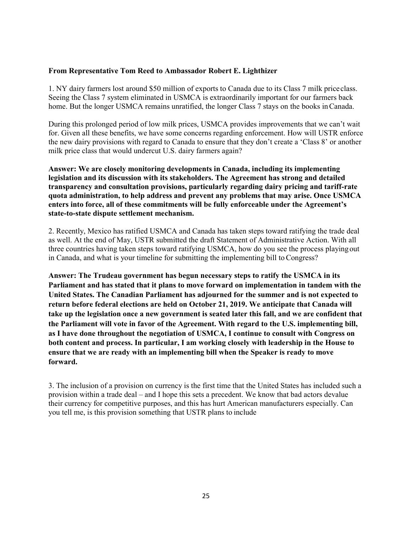### **From Representative Tom Reed to Ambassador Robert E. Lighthizer**

1. NY dairy farmers lost around \$50 million of exports to Canada due to its Class 7 milk priceclass. Seeing the Class 7 system eliminated in USMCA is extraordinarily important for our farmers back home. But the longer USMCA remains unratified, the longer Class 7 stays on the books in Canada.

During this prolonged period of low milk prices, USMCA provides improvements that we can't wait for. Given all these benefits, we have some concerns regarding enforcement. How will USTR enforce the new dairy provisions with regard to Canada to ensure that they don't create a 'Class 8' or another milk price class that would undercut U.S. dairy farmers again?

**Answer: We are closely monitoring developments in Canada, including its implementing legislation and its discussion with its stakeholders. The Agreement has strong and detailed transparency and consultation provisions, particularly regarding dairy pricing and tariff-rate quota administration, to help address and prevent any problems that may arise. Once USMCA enters into force, all of these commitments will be fully enforceable under the Agreement's state-to-state dispute settlement mechanism.**

2. Recently, Mexico has ratified USMCA and Canada has taken steps toward ratifying the trade deal as well. At the end of May, USTR submitted the draft Statement of Administrative Action. With all three countries having taken steps toward ratifying USMCA, how do you see the process playingout in Canada, and what is your timeline for submitting the implementing bill toCongress?

**Answer: The Trudeau government has begun necessary steps to ratify the USMCA in its Parliament and has stated that it plans to move forward on implementation in tandem with the United States. The Canadian Parliament has adjourned for the summer and is not expected to return before federal elections are held on October 21, 2019. We anticipate that Canada will take up the legislation once a new government is seated later this fall, and we are confident that the Parliament will vote in favor of the Agreement. With regard to the U.S. implementing bill, as I have done throughout the negotiation of USMCA, I continue to consult with Congress on both content and process. In particular, I am working closely with leadership in the House to ensure that we are ready with an implementing bill when the Speaker is ready to move forward.**

3. The inclusion of a provision on currency is the first time that the United States has included such a provision within a trade deal – and I hope this sets a precedent. We know that bad actors devalue their currency for competitive purposes, and this has hurt American manufacturers especially. Can you tell me, is this provision something that USTR plans to include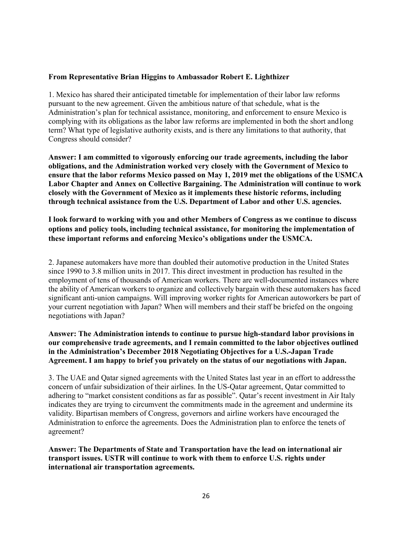### **From Representative Brian Higgins to Ambassador Robert E. Lighthizer**

1. Mexico has shared their anticipated timetable for implementation of their labor law reforms pursuant to the new agreement. Given the ambitious nature of that schedule, what is the Administration's plan for technical assistance, monitoring, and enforcement to ensure Mexico is complying with its obligations as the labor law reforms are implemented in both the short andlong term? What type of legislative authority exists, and is there any limitations to that authority, that Congress should consider?

**Answer: I am committed to vigorously enforcing our trade agreements, including the labor obligations, and the Administration worked very closely with the Government of Mexico to ensure that the labor reforms Mexico passed on May 1, 2019 met the obligations of the USMCA Labor Chapter and Annex on Collective Bargaining. The Administration will continue to work closely with the Government of Mexico as it implements these historic reforms, including through technical assistance from the U.S. Department of Labor and other U.S. agencies.**

**I look forward to working with you and other Members of Congress as we continue to discuss options and policy tools, including technical assistance, for monitoring the implementation of these important reforms and enforcing Mexico's obligations under the USMCA.**

2. Japanese automakers have more than doubled their automotive production in the United States since 1990 to 3.8 million units in 2017. This direct investment in production has resulted in the employment of tens of thousands of American workers. There are well-documented instances where the ability of American workers to organize and collectively bargain with these automakers has faced significant anti-union campaigns. Will improving worker rights for American autoworkers be part of your current negotiation with Japan? When will members and their staff be briefed on the ongoing negotiations with Japan?

## **Answer: The Administration intends to continue to pursue high-standard labor provisions in our comprehensive trade agreements, and I remain committed to the labor objectives outlined in the Administration's December 2018 Negotiating Objectives for a U.S.-Japan Trade Agreement. I am happy to brief you privately on the status of our negotiations with Japan.**

3. The UAE and Qatar signed agreements with the United States last year in an effort to addressthe concern of unfair subsidization of their airlines. In the US-Qatar agreement, Qatar committed to adhering to "market consistent conditions as far as possible". Qatar's recent investment in Air Italy indicates they are trying to circumvent the commitments made in the agreement and undermine its validity. Bipartisan members of Congress, governors and airline workers have encouraged the Administration to enforce the agreements. Does the Administration plan to enforce the tenets of agreement?

**Answer: The Departments of State and Transportation have the lead on international air transport issues. USTR will continue to work with them to enforce U.S. rights under international air transportation agreements.**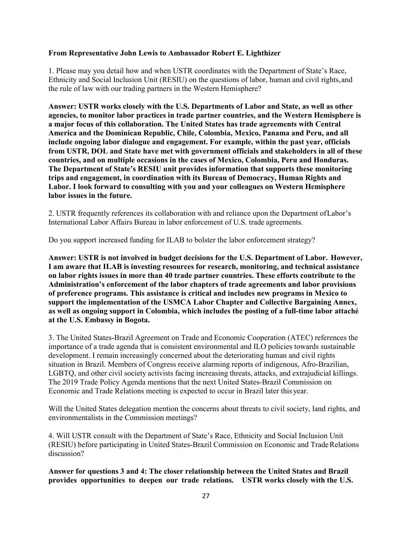### **From Representative John Lewis to Ambassador Robert E. Lighthizer**

1. Please may you detail how and when USTR coordinates with the Department of State's Race, Ethnicity and Social Inclusion Unit (RESIU) on the questions of labor, human and civil rights,and the rule of law with our trading partners in the Western Hemisphere?

**Answer: USTR works closely with the U.S. Departments of Labor and State, as well as other agencies, to monitor labor practices in trade partner countries, and the Western Hemisphere is a major focus of this collaboration. The United States has trade agreements with Central America and the Dominican Republic, Chile, Colombia, Mexico, Panama and Peru, and all include ongoing labor dialogue and engagement. For example, within the past year, officials from USTR, DOL and State have met with government officials and stakeholders in all of these countries, and on multiple occasions in the cases of Mexico, Colombia, Peru and Honduras. The Department of State's RESIU unit provides information that supports these monitoring trips and engagement, in coordination with its Bureau of Democracy, Human Rights and Labor. I look forward to consulting with you and your colleagues on Western Hemisphere labor issues in the future.**

2. USTR frequently references its collaboration with and reliance upon the Department ofLabor's International Labor Affairs Bureau in labor enforcement of U.S. trade agreements.

Do you support increased funding for ILAB to bolster the labor enforcement strategy?

**Answer: USTR is not involved in budget decisions for the U.S. Department of Labor. However, I am aware that ILAB is investing resources for research, monitoring, and technical assistance on labor rights issues in more than 40 trade partner countries. These efforts contribute to the Administration's enforcement of the labor chapters of trade agreements and labor provisions of preference programs. This assistance is critical and includes new programs in Mexico to support the implementation of the USMCA Labor Chapter and Collective Bargaining Annex, as well as ongoing support in Colombia, which includes the posting of a full-time labor attaché at the U.S. Embassy in Bogota.**

3. The United States-Brazil Agreement on Trade and Economic Cooperation (ATEC) references the importance of a trade agenda that is consistent environmental and ILO policies towards sustainable development. I remain increasingly concerned about the deteriorating human and civil rights situation in Brazil. Members of Congress receive alarming reports of indigenous, Afro-Brazilian, LGBTQ, and other civil society activists facing increasing threats, attacks, and extrajudicial killings. The 2019 Trade Policy Agenda mentions that the next United States-Brazil Commission on Economic and Trade Relations meeting is expected to occur in Brazil later thisyear.

Will the United States delegation mention the concerns about threats to civil society, land rights, and environmentalists in the Commission meetings?

4. Will USTR consult with the Department of State's Race, Ethnicity and Social Inclusion Unit (RESIU) before participating in United States-Brazil Commission on Economic and TradeRelations discussion?

**Answer for questions 3 and 4: The closer relationship between the United States and Brazil provides opportunities to deepen our trade relations. USTR works closely with the U.S.**